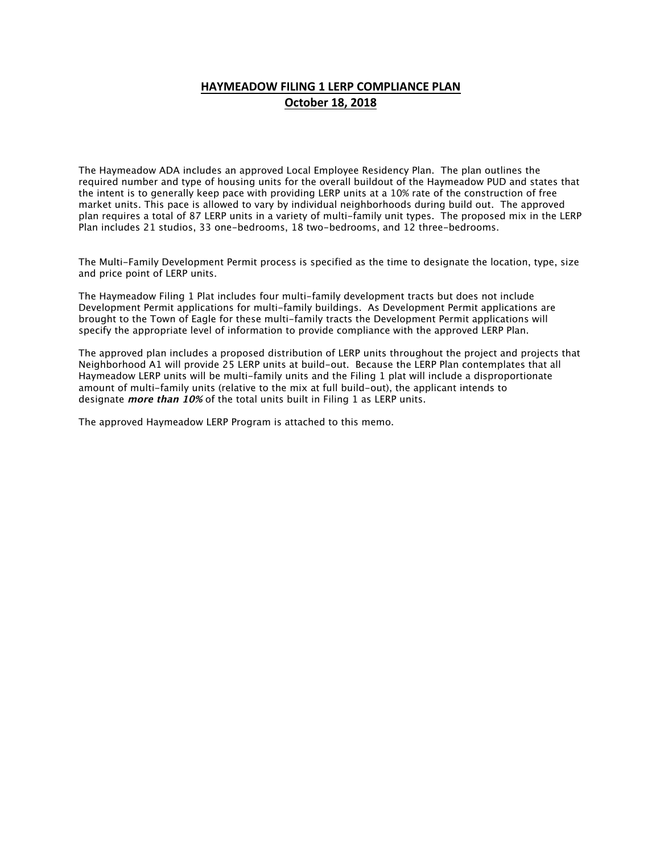## **HAYMEADOW FILING 1 LERP COMPLIANCE PLAN October 18, 2018**

The Haymeadow ADA includes an approved Local Employee Residency Plan. The plan outlines the required number and type of housing units for the overall buildout of the Haymeadow PUD and states that the intent is to generally keep pace with providing LERP units at a 10% rate of the construction of free market units. This pace is allowed to vary by individual neighborhoods during build out. The approved plan requires a total of 87 LERP units in a variety of multi-family unit types. The proposed mix in the LERP Plan includes 21 studios, 33 one-bedrooms, 18 two-bedrooms, and 12 three-bedrooms.

The Multi-Family Development Permit process is specified as the time to designate the location, type, size and price point of LERP units.

The Haymeadow Filing 1 Plat includes four multi-family development tracts but does not include Development Permit applications for multi-family buildings. As Development Permit applications are brought to the Town of Eagle for these multi-family tracts the Development Permit applications will specify the appropriate level of information to provide compliance with the approved LERP Plan.

The approved plan includes a proposed distribution of LERP units throughout the project and projects that Neighborhood A1 will provide 25 LERP units at build-out. Because the LERP Plan contemplates that all Haymeadow LERP units will be multi-family units and the Filing 1 plat will include a disproportionate amount of multi-family units (relative to the mix at full build-out), the applicant intends to designate **more than 10%** of the total units built in Filing 1 as LERP units.

The approved Haymeadow LERP Program is attached to this memo.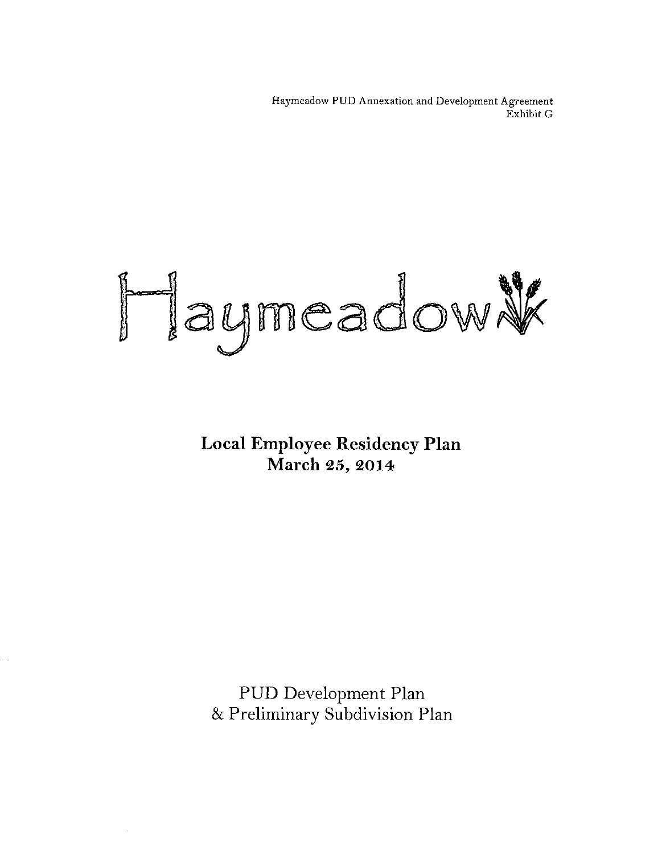Haymeadow PUD Annexation and Development Agreement Exhibit G

## Haymeadow

**Local Employee Residency Plan** March 25, 2014

PUD Development Plan & Preliminary Subdivision Plan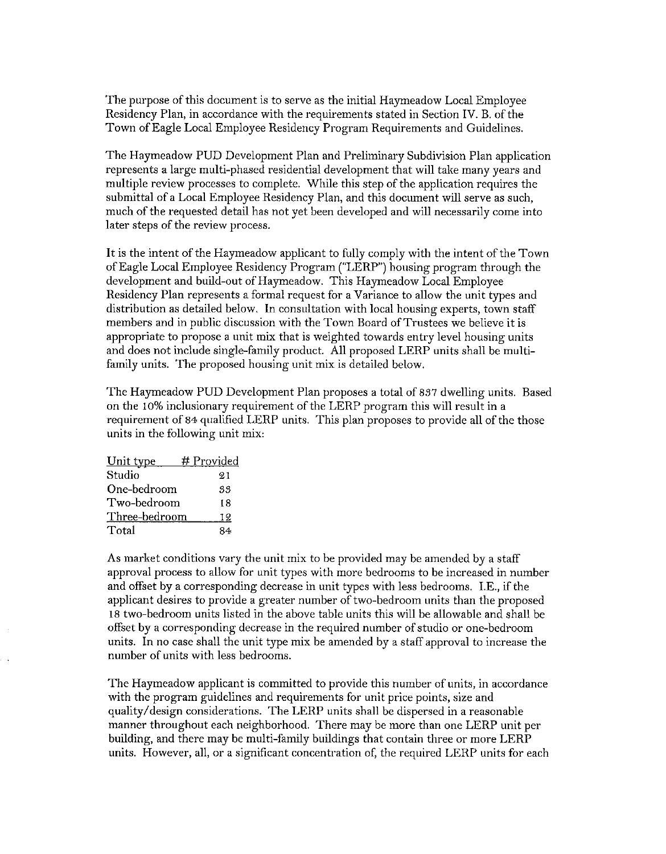The purpose of this document is to serve as the initial Haymeadow Local Employee Residency Plan, in accordance with the requirements stated in Section IV. B. of the Town of Eagle Local Employee Residency Program Requirements and Guidelines.

The Haymeadow PUD Development Plan and Preliminary Subdivision Plan application represents a large multi-phased residential development that will take many years and multiple review processes to complete. While this step of the application requires the submittal of a Local Employee Residency Plan, and this document will serve as such, much of the requested detail has not yet been developed and will necessarily come into later steps of the review process.

It is the intent of the Haymeadow applicant to fully comply with the intent of the Town of Eagle Local Employee Residency Program ("LERP") housing program through the development and build-out of Haymeadow. This Haymeadow Local Employee Residency Plan represents a formal request for a Variance to allow the unit types and distribution as detailed below. In consultation with local housing experts, town staff members and in public discussion with the Town Board of Trustees we believe it is appropriate to propose a unit mix that is weighted towards entry level housing units and does not include single-family product. All proposed LERP units shall be multifamily units. The proposed housing unit mix is detailed below.

The Haymeadow PUD Development Plan proposes a total of 837 dwelling units. Based on the 10% inclusionary requirement of the LERP program this will result in a requirement of 84 qualified LERP units. This plan proposes to provide all of the those units in the following unit mix:

| Unit type     | # Provided |
|---------------|------------|
| Studio        | 21         |
| One-bedroom   | 33         |
| Two-bedroom   | 18         |
| Three-bedroom | 12         |
| Total         | 84         |

As market conditions vary the unit mix to be provided may be amended by a staff approval process to allow for unit types with more bedrooms to be increased in number and offset by a corresponding decrease in unit types with less bedrooms. I.E., if the applicant desires to provide a greater number of two-bedroom units than the proposed 18 two-bedroom units listed in the above table units this will be allowable and shall be offset by a corresponding decrease in the required number of studio or one-bedroom units. In no case shall the unit type mix be amended by a staff approval to increase the number of units with less bedrooms.

The Haymeadow applicant is committed to provide this number of units, in accordance with the program guidelines and requirements for unit price points, size and quality/design considerations. The LERP units shall be dispersed in a reasonable manner throughout each neighborhood. There may be more than one LERP unit per building, and there may be multi-family buildings that contain three or more LERP units. However, all, or a significant concentration of, the required LERP units for each